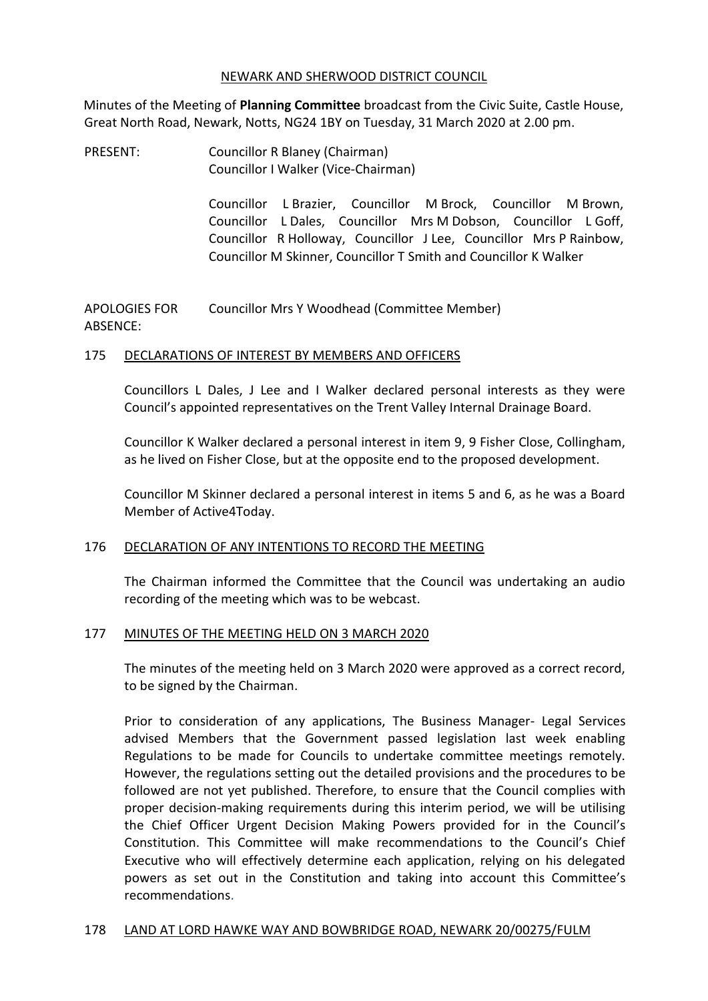#### NEWARK AND SHERWOOD DISTRICT COUNCIL

Minutes of the Meeting of **Planning Committee** broadcast from the Civic Suite, Castle House, Great North Road, Newark, Notts, NG24 1BY on Tuesday, 31 March 2020 at 2.00 pm.

PRESENT: Councillor R Blaney (Chairman) Councillor I Walker (Vice-Chairman)

> Councillor L Brazier, Councillor M Brock, Councillor M Brown, Councillor L Dales, Councillor Mrs M Dobson, Councillor L Goff, Councillor R Holloway, Councillor J Lee, Councillor Mrs P Rainbow, Councillor M Skinner, Councillor T Smith and Councillor K Walker

APOLOGIES FOR ABSENCE: Councillor Mrs Y Woodhead (Committee Member)

#### 175 DECLARATIONS OF INTEREST BY MEMBERS AND OFFICERS

Councillors L Dales, J Lee and I Walker declared personal interests as they were Council's appointed representatives on the Trent Valley Internal Drainage Board.

Councillor K Walker declared a personal interest in item 9, 9 Fisher Close, Collingham, as he lived on Fisher Close, but at the opposite end to the proposed development.

Councillor M Skinner declared a personal interest in items 5 and 6, as he was a Board Member of Active4Today.

#### 176 DECLARATION OF ANY INTENTIONS TO RECORD THE MEETING

The Chairman informed the Committee that the Council was undertaking an audio recording of the meeting which was to be webcast.

#### 177 MINUTES OF THE MEETING HELD ON 3 MARCH 2020

The minutes of the meeting held on 3 March 2020 were approved as a correct record, to be signed by the Chairman.

Prior to consideration of any applications, The Business Manager- Legal Services advised Members that the Government passed legislation last week enabling Regulations to be made for Councils to undertake committee meetings remotely. However, the regulations setting out the detailed provisions and the procedures to be followed are not yet published. Therefore, to ensure that the Council complies with proper decision-making requirements during this interim period, we will be utilising the Chief Officer Urgent Decision Making Powers provided for in the Council's Constitution. This Committee will make recommendations to the Council's Chief Executive who will effectively determine each application, relying on his delegated powers as set out in the Constitution and taking into account this Committee's recommendations.

#### 178 LAND AT LORD HAWKE WAY AND BOWBRIDGE ROAD, NEWARK 20/00275/FULM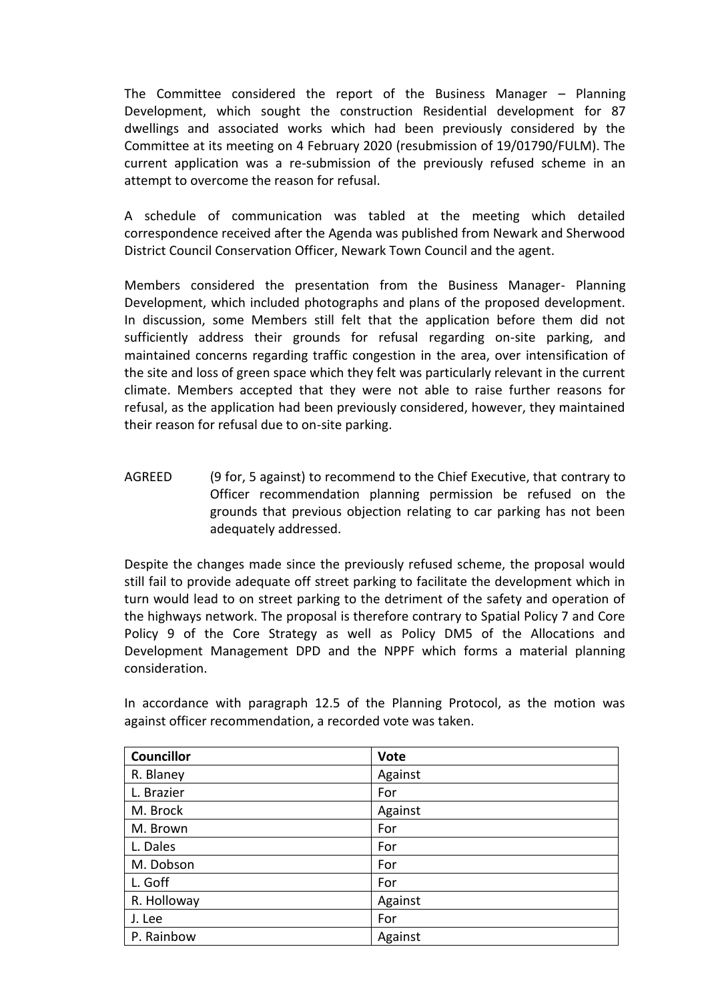The Committee considered the report of the Business Manager – Planning Development, which sought the construction Residential development for 87 dwellings and associated works which had been previously considered by the Committee at its meeting on 4 February 2020 (resubmission of 19/01790/FULM). The current application was a re-submission of the previously refused scheme in an attempt to overcome the reason for refusal.

A schedule of communication was tabled at the meeting which detailed correspondence received after the Agenda was published from Newark and Sherwood District Council Conservation Officer, Newark Town Council and the agent.

Members considered the presentation from the Business Manager- Planning Development, which included photographs and plans of the proposed development. In discussion, some Members still felt that the application before them did not sufficiently address their grounds for refusal regarding on-site parking, and maintained concerns regarding traffic congestion in the area, over intensification of the site and loss of green space which they felt was particularly relevant in the current climate. Members accepted that they were not able to raise further reasons for refusal, as the application had been previously considered, however, they maintained their reason for refusal due to on-site parking.

AGREED (9 for, 5 against) to recommend to the Chief Executive, that contrary to Officer recommendation planning permission be refused on the grounds that previous objection relating to car parking has not been adequately addressed.

Despite the changes made since the previously refused scheme, the proposal would still fail to provide adequate off street parking to facilitate the development which in turn would lead to on street parking to the detriment of the safety and operation of the highways network. The proposal is therefore contrary to Spatial Policy 7 and Core Policy 9 of the Core Strategy as well as Policy DM5 of the Allocations and Development Management DPD and the NPPF which forms a material planning consideration.

| Councillor  | <b>Vote</b> |
|-------------|-------------|
| R. Blaney   | Against     |
| L. Brazier  | For         |
| M. Brock    | Against     |
| M. Brown    | For         |
| L. Dales    | For         |
| M. Dobson   | For         |
| L. Goff     | For         |
| R. Holloway | Against     |
| J. Lee      | For         |
| P. Rainbow  | Against     |

In accordance with paragraph 12.5 of the Planning Protocol, as the motion was against officer recommendation, a recorded vote was taken.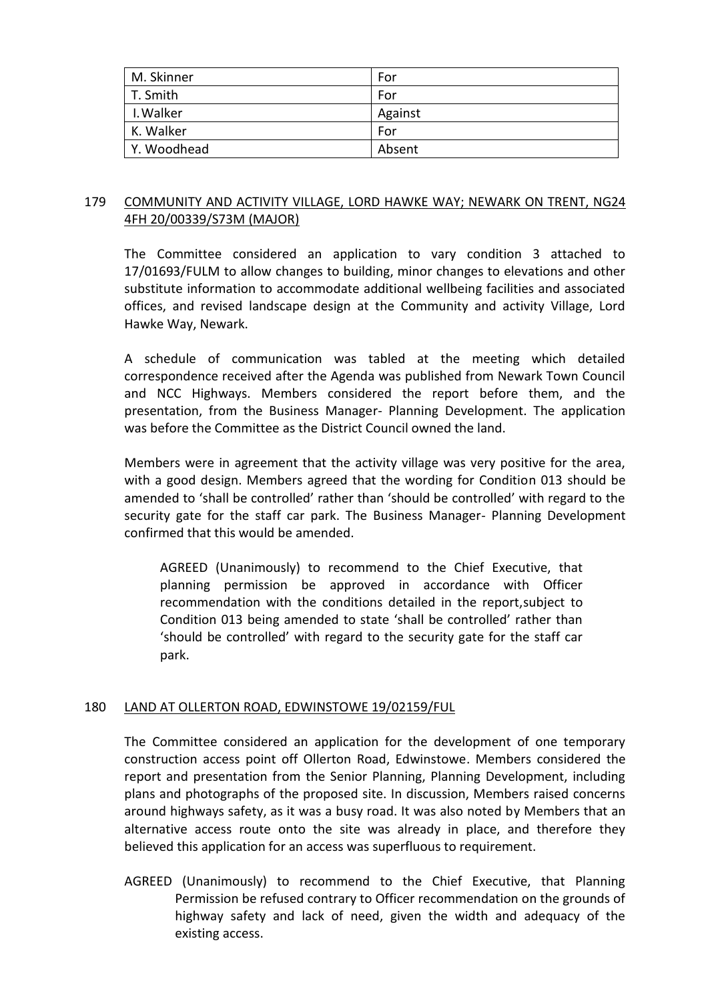| M. Skinner  | For     |
|-------------|---------|
| T. Smith    | For     |
| I. Walker   | Against |
| K. Walker   | For     |
| Y. Woodhead | Absent  |

## 179 COMMUNITY AND ACTIVITY VILLAGE, LORD HAWKE WAY; NEWARK ON TRENT, NG24 4FH 20/00339/S73M (MAJOR)

The Committee considered an application to vary condition 3 attached to 17/01693/FULM to allow changes to building, minor changes to elevations and other substitute information to accommodate additional wellbeing facilities and associated offices, and revised landscape design at the Community and activity Village, Lord Hawke Way, Newark.

A schedule of communication was tabled at the meeting which detailed correspondence received after the Agenda was published from Newark Town Council and NCC Highways. Members considered the report before them, and the presentation, from the Business Manager- Planning Development. The application was before the Committee as the District Council owned the land.

Members were in agreement that the activity village was very positive for the area, with a good design. Members agreed that the wording for Condition 013 should be amended to 'shall be controlled' rather than 'should be controlled' with regard to the security gate for the staff car park. The Business Manager- Planning Development confirmed that this would be amended.

AGREED (Unanimously) to recommend to the Chief Executive, that planning permission be approved in accordance with Officer recommendation with the conditions detailed in the report,subject to Condition 013 being amended to state 'shall be controlled' rather than 'should be controlled' with regard to the security gate for the staff car park.

#### 180 LAND AT OLLERTON ROAD, EDWINSTOWE 19/02159/FUL

The Committee considered an application for the development of one temporary construction access point off Ollerton Road, Edwinstowe. Members considered the report and presentation from the Senior Planning, Planning Development, including plans and photographs of the proposed site. In discussion, Members raised concerns around highways safety, as it was a busy road. It was also noted by Members that an alternative access route onto the site was already in place, and therefore they believed this application for an access was superfluous to requirement.

AGREED (Unanimously) to recommend to the Chief Executive, that Planning Permission be refused contrary to Officer recommendation on the grounds of highway safety and lack of need, given the width and adequacy of the existing access.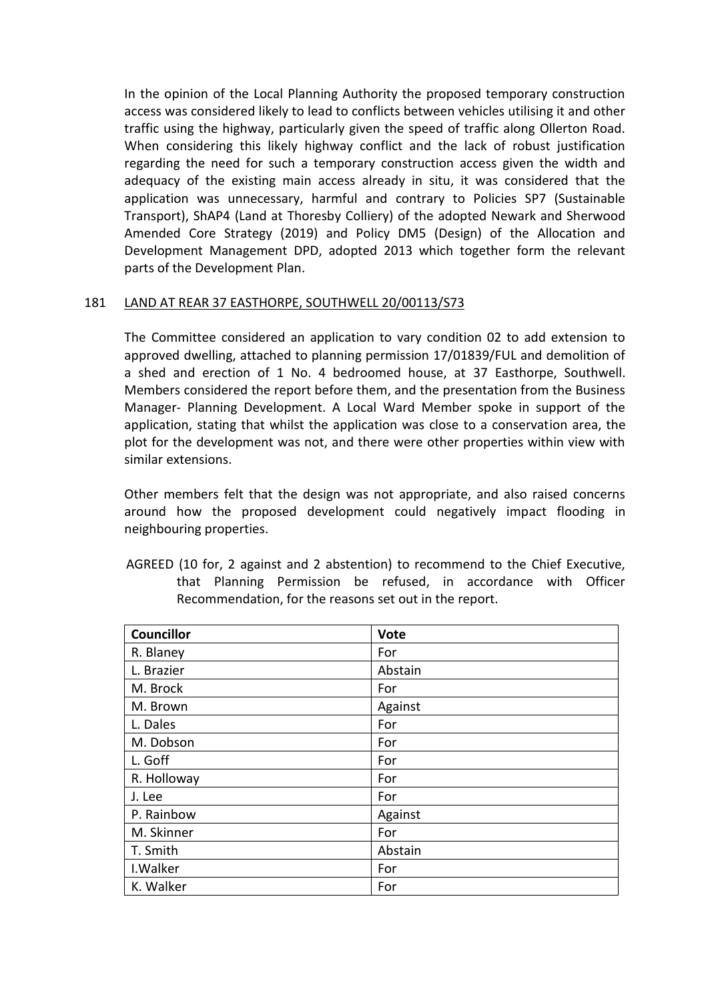In the opinion of the Local Planning Authority the proposed temporary construction access was considered likely to lead to conflicts between vehicles utilising it and other traffic using the highway, particularly given the speed of traffic along Ollerton Road. When considering this likely highway conflict and the lack of robust justification regarding the need for such a temporary construction access given the width and adequacy of the existing main access already in situ, it was considered that the application was unnecessary, harmful and contrary to Policies SP7 (Sustainable Transport), ShAP4 (Land at Thoresby Colliery) of the adopted Newark and Sherwood Amended Core Strategy (2019) and Policy DM5 (Design) of the Allocation and Development Management DPD, adopted 2013 which together form the relevant parts of the Development Plan.

## 181 LAND AT REAR 37 EASTHORPE, SOUTHWELL 20/00113/S73

The Committee considered an application to vary condition 02 to add extension to approved dwelling, attached to planning permission 17/01839/FUL and demolition of a shed and erection of 1 No. 4 bedroomed house, at 37 Easthorpe, Southwell. Members considered the report before them, and the presentation from the Business Manager- Planning Development. A Local Ward Member spoke in support of the application, stating that whilst the application was close to a conservation area, the plot for the development was not, and there were other properties within view with similar extensions.

Other members felt that the design was not appropriate, and also raised concerns around how the proposed development could negatively impact flooding in neighbouring properties.

AGREED (10 for, 2 against and 2 abstention) to recommend to the Chief Executive, that Planning Permission be refused, in accordance with Officer Recommendation, for the reasons set out in the report.

| <b>Councillor</b> | <b>Vote</b> |
|-------------------|-------------|
| R. Blaney         | For         |
| L. Brazier        | Abstain     |
| M. Brock          | For         |
| M. Brown          | Against     |
| L. Dales          | For         |
| M. Dobson         | For         |
| L. Goff           | For         |
| R. Holloway       | For         |
| J. Lee            | For         |
| P. Rainbow        | Against     |
| M. Skinner        | For         |
| T. Smith          | Abstain     |
| I. Walker         | For         |
| K. Walker         | For         |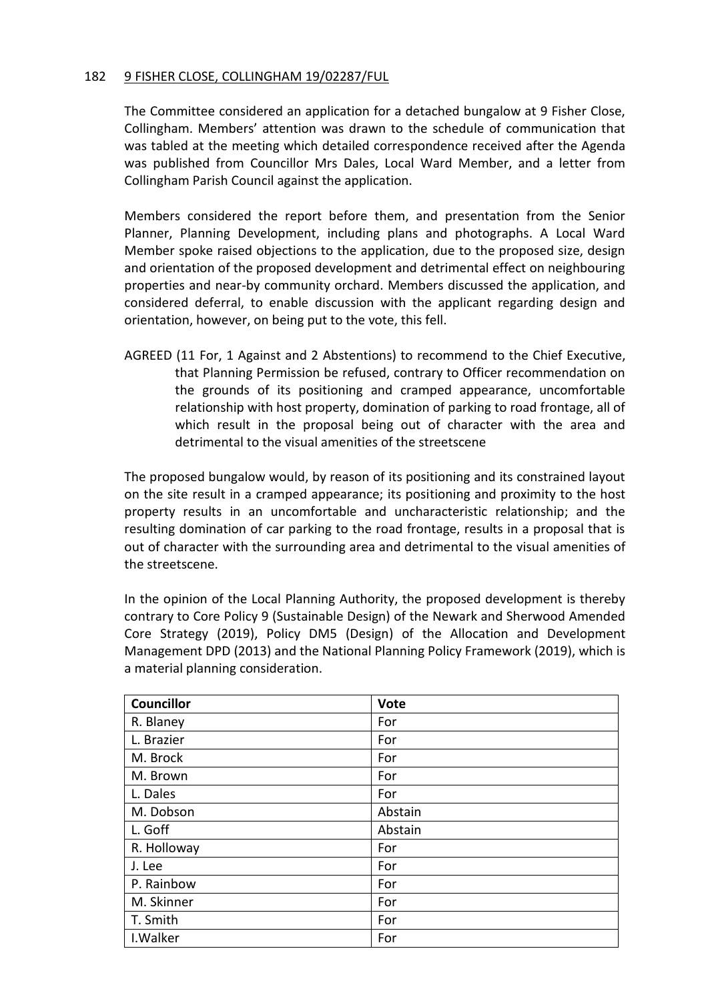#### 182 9 FISHER CLOSE, COLLINGHAM 19/02287/FUL

The Committee considered an application for a detached bungalow at 9 Fisher Close, Collingham. Members' attention was drawn to the schedule of communication that was tabled at the meeting which detailed correspondence received after the Agenda was published from Councillor Mrs Dales, Local Ward Member, and a letter from Collingham Parish Council against the application.

Members considered the report before them, and presentation from the Senior Planner, Planning Development, including plans and photographs. A Local Ward Member spoke raised objections to the application, due to the proposed size, design and orientation of the proposed development and detrimental effect on neighbouring properties and near-by community orchard. Members discussed the application, and considered deferral, to enable discussion with the applicant regarding design and orientation, however, on being put to the vote, this fell.

AGREED (11 For, 1 Against and 2 Abstentions) to recommend to the Chief Executive, that Planning Permission be refused, contrary to Officer recommendation on the grounds of its positioning and cramped appearance, uncomfortable relationship with host property, domination of parking to road frontage, all of which result in the proposal being out of character with the area and detrimental to the visual amenities of the streetscene

The proposed bungalow would, by reason of its positioning and its constrained layout on the site result in a cramped appearance; its positioning and proximity to the host property results in an uncomfortable and uncharacteristic relationship; and the resulting domination of car parking to the road frontage, results in a proposal that is out of character with the surrounding area and detrimental to the visual amenities of the streetscene.

In the opinion of the Local Planning Authority, the proposed development is thereby contrary to Core Policy 9 (Sustainable Design) of the Newark and Sherwood Amended Core Strategy (2019), Policy DM5 (Design) of the Allocation and Development Management DPD (2013) and the National Planning Policy Framework (2019), which is a material planning consideration.

| <b>Councillor</b> | <b>Vote</b> |
|-------------------|-------------|
| R. Blaney         | For         |
| L. Brazier        | For         |
| M. Brock          | For         |
| M. Brown          | For         |
| L. Dales          | For         |
| M. Dobson         | Abstain     |
| L. Goff           | Abstain     |
| R. Holloway       | For         |
| J. Lee            | For         |
| P. Rainbow        | For         |
| M. Skinner        | For         |
| T. Smith          | For         |
| I. Walker         | For         |